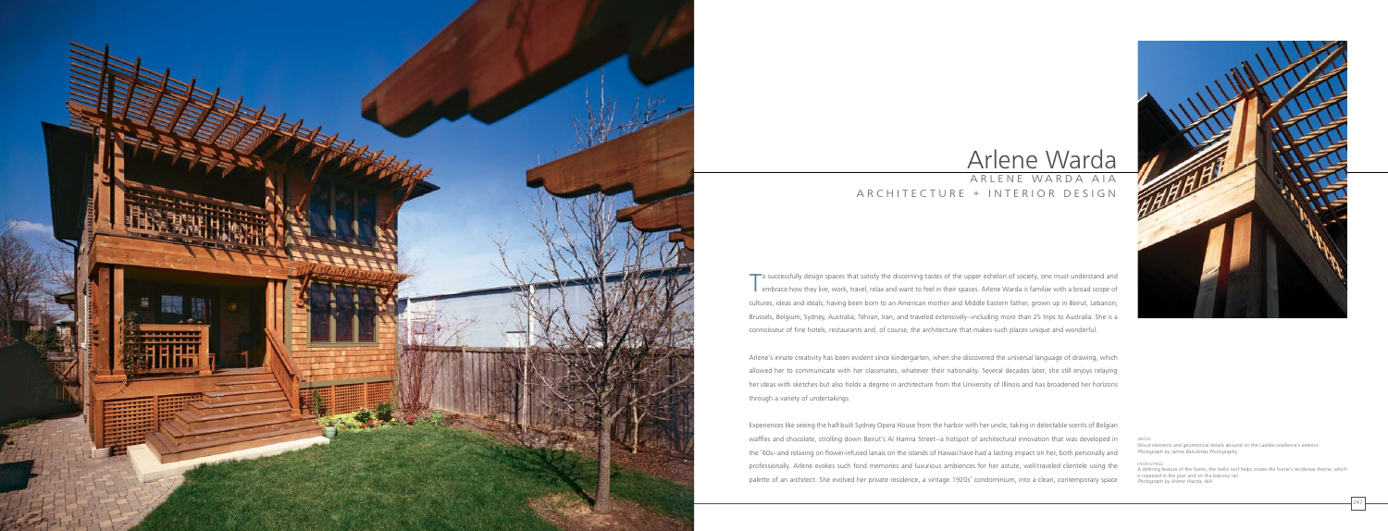

To successfully design spaces that satisfy the discerning tastes of the upper echelon of society, one must understand and<br>embrace how they live, work, travel, relax and want to feel in their spaces. Arlene Warda is familia embrace how they live, work, travel, relax and want to feel in their spaces. Arlene Warda is familiar with a broad scope of cultures, ideas and ideals, having been born to an American mother and Middle Eastern father, grown up in Beirut, Lebanon; Brussels, Belgium; Sydney, Australia; Tehran, Iran, and traveled extensively—including more than 25 trips to Australia. She is a connoisseur of fine hotels, restaurants and, of course, the architecture that makes such places unique and wonderful.

Arlene's innate creativity has been evident since kindergarten, when she discovered the universal language of drawing, which allowed her to communicate with her classmates, whatever their nationality. Several decades later, she still enjoys relaying her ideas with sketches but also holds a degree in architecture from the University of Illinois and has broadened her horizons through a variety of undertakings.

# Arlene Warda ARLENE WARDA AIA A R C H I T E C T U R E + I N T E R I O R D E S I G N

Experiences like seeing the half-built Sydney Opera House from the harbor with her uncle, taking in delectable scents of Belgian waffles and chocolate, strolling down Beirut's Al Hamra Street—a hotspot of architectural innovation that was developed in the '60s—and relaxing on flower-infused lanais on the islands of Hawaii have had a lasting impact on her, both personally and professionally. Arlene evokes such fond memories and luxurious ambiences for her astute, well-traveled clientele using the palette of an architect. She evolved her private residence, a vintage 1920s' condominium, into a clean, contemporary space



ABOVE:

Wood elements and geometrical details abound on the Laedke residence's exterior. Photograph by James Balodimas Photography

#### FACING PAGE:

A defining feature of the home, the trellis roof helps create the home's rectilinear theme, which is repeated in the post and on the balcony rail. Photograph by Arlene Warda, AIA